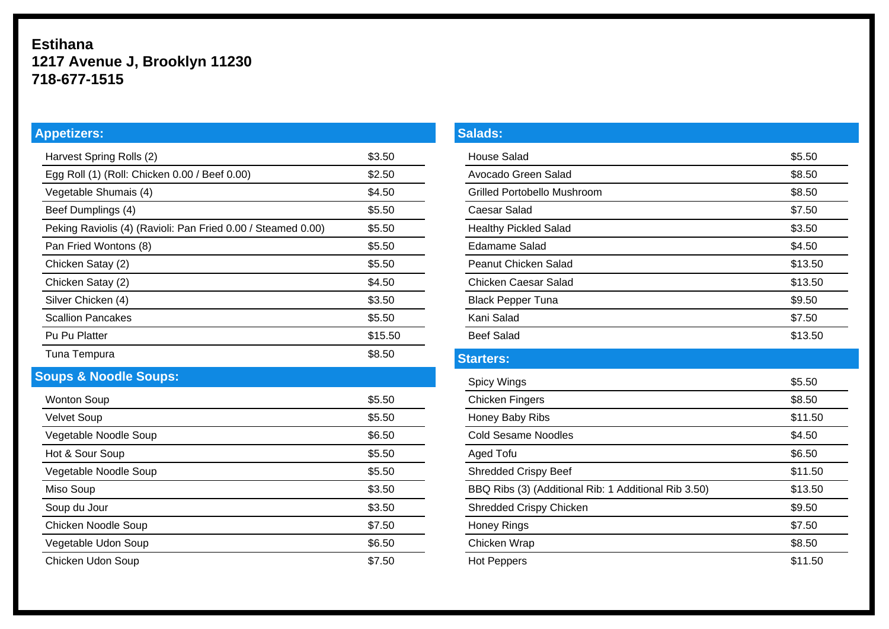## **Estihana 1217 Avenue J, Brooklyn 11230 718-677-1515**

# **Appetizers:**

| Harvest Spring Rolls (2)                                     | \$3.50  |
|--------------------------------------------------------------|---------|
| Egg Roll (1) (Roll: Chicken 0.00 / Beef 0.00)                | \$2.50  |
| Vegetable Shumais (4)                                        | \$4.50  |
| Beef Dumplings (4)                                           | \$5.50  |
| Peking Raviolis (4) (Ravioli: Pan Fried 0.00 / Steamed 0.00) | \$5.50  |
| Pan Fried Wontons (8)                                        | \$5.50  |
| Chicken Satay (2)                                            | \$5.50  |
| Chicken Satay (2)                                            | \$4.50  |
| Silver Chicken (4)                                           | \$3.50  |
| <b>Scallion Pancakes</b>                                     | \$5.50  |
| Pu Pu Platter                                                | \$15.50 |
| Tuna Tempura                                                 | \$8.50  |

## **Soups & Noodle Soups:**

| <b>Wonton Soup</b>    | \$5.50 |
|-----------------------|--------|
| <b>Velvet Soup</b>    | \$5.50 |
| Vegetable Noodle Soup | \$6.50 |
| Hot & Sour Soup       | \$5.50 |
| Vegetable Noodle Soup | \$5.50 |
| Miso Soup             | \$3.50 |
| Soup du Jour          | \$3.50 |
| Chicken Noodle Soup   | \$7.50 |
| Vegetable Udon Soup   | \$6.50 |
| Chicken Udon Soup     | \$7.50 |

#### **Salads:**

| <b>House Salad</b>                                   | \$5.50  |
|------------------------------------------------------|---------|
| Avocado Green Salad                                  | \$8.50  |
| Grilled Portobello Mushroom                          | \$8.50  |
| Caesar Salad                                         | \$7.50  |
| <b>Healthy Pickled Salad</b>                         | \$3.50  |
| <b>Edamame Salad</b>                                 | \$4.50  |
| Peanut Chicken Salad                                 | \$13.50 |
| Chicken Caesar Salad                                 | \$13.50 |
| <b>Black Pepper Tuna</b>                             | \$9.50  |
| Kani Salad                                           | \$7.50  |
| <b>Beef Salad</b>                                    | \$13.50 |
| <b>Starters:</b>                                     |         |
| Spicy Wings                                          | \$5.50  |
| <b>Chicken Fingers</b>                               | \$8.50  |
| Honey Baby Ribs                                      | \$11.50 |
| <b>Cold Sesame Noodles</b>                           | \$4.50  |
| <b>Aged Tofu</b>                                     | \$6.50  |
| <b>Shredded Crispy Beef</b>                          | \$11.50 |
| BBQ Ribs (3) (Additional Rib: 1 Additional Rib 3.50) | \$13.50 |
| Shredded Crispy Chicken                              | \$9.50  |
| <b>Honey Rings</b>                                   | \$7.50  |
| Chicken Wrap                                         | \$8.50  |
| <b>Hot Peppers</b>                                   | \$11.50 |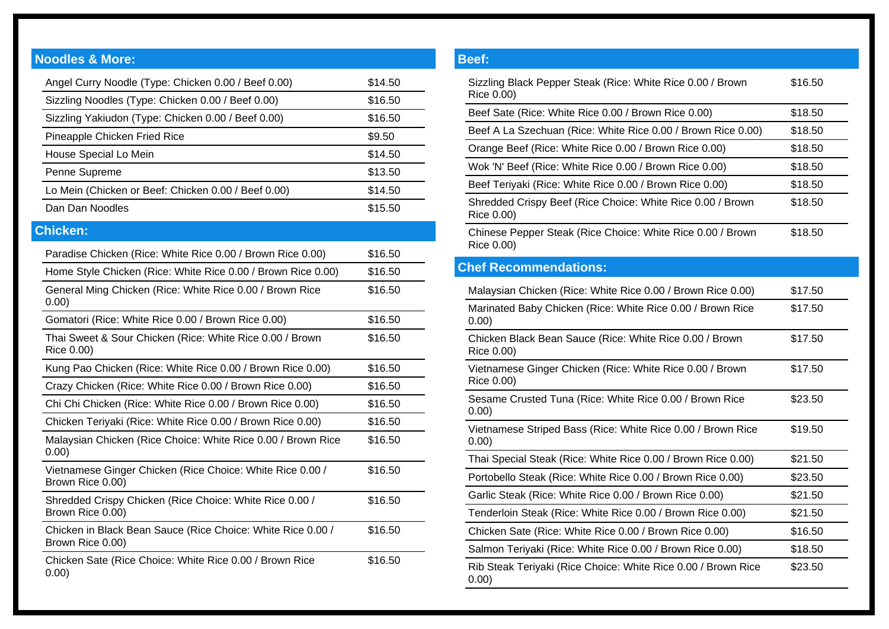#### **Noodles & More:**

| Angel Curry Noodle (Type: Chicken 0.00 / Beef 0.00)                             | \$14.50 |
|---------------------------------------------------------------------------------|---------|
| Sizzling Noodles (Type: Chicken 0.00 / Beef 0.00)                               | \$16.50 |
| Sizzling Yakiudon (Type: Chicken 0.00 / Beef 0.00)                              | \$16.50 |
| Pineapple Chicken Fried Rice                                                    | \$9.50  |
| House Special Lo Mein                                                           | \$14.50 |
| Penne Supreme                                                                   | \$13.50 |
| Lo Mein (Chicken or Beef: Chicken 0.00 / Beef 0.00)                             | \$14.50 |
| Dan Dan Noodles                                                                 | \$15.50 |
| <b>Chicken:</b>                                                                 |         |
| Paradise Chicken (Rice: White Rice 0.00 / Brown Rice 0.00)                      | \$16.50 |
| Home Style Chicken (Rice: White Rice 0.00 / Brown Rice 0.00)                    | \$16.50 |
| General Ming Chicken (Rice: White Rice 0.00 / Brown Rice<br>0.00)               | \$16.50 |
| Gomatori (Rice: White Rice 0.00 / Brown Rice 0.00)                              | \$16.50 |
| Thai Sweet & Sour Chicken (Rice: White Rice 0.00 / Brown<br>Rice 0.00)          | \$16.50 |
| Kung Pao Chicken (Rice: White Rice 0.00 / Brown Rice 0.00)                      | \$16.50 |
| Crazy Chicken (Rice: White Rice 0.00 / Brown Rice 0.00)                         | \$16.50 |
| Chi Chi Chicken (Rice: White Rice 0.00 / Brown Rice 0.00)                       | \$16.50 |
| Chicken Teriyaki (Rice: White Rice 0.00 / Brown Rice 0.00)                      | \$16.50 |
| Malaysian Chicken (Rice Choice: White Rice 0.00 / Brown Rice<br>0.00)           | \$16.50 |
| Vietnamese Ginger Chicken (Rice Choice: White Rice 0.00 /<br>Brown Rice 0.00)   | \$16.50 |
| Shredded Crispy Chicken (Rice Choice: White Rice 0.00 /<br>Brown Rice 0.00)     | \$16.50 |
| Chicken in Black Bean Sauce (Rice Choice: White Rice 0.00 /<br>Brown Rice 0.00) | \$16.50 |
| Chicken Sate (Rice Choice: White Rice 0.00 / Brown Rice<br>0.00)                | \$16.50 |

## **Beef:** Sizzling Black Pepper Steak (Rice: White Rice 0.00 / Brown \$16.50 Rice 0.00) Beef Sate (Rice: White Rice 0.00 / Brown Rice 0.00) \$18.50 Beef A La Szechuan (Rice: White Rice 0.00 / Brown Rice 0.00) \$18.50 Orange Beef (Rice: White Rice 0.00 / Brown Rice 0.00) \$18.50 Wok 'N' Beef (Rice: White Rice 0.00 / Brown Rice 0.00) \$18.50 Beef Teriyaki (Rice: White Rice 0.00 / Brown Rice 0.00) \$18.50 Shredded Crispy Beef (Rice Choice: White Rice 0.00 / Brown \$18.50 Rice 0.00) Chinese Pepper Steak (Rice Choice: White Rice 0.00 / Brown \$18.50 Rice 0.00) **Chef Recommendations:** Malaysian Chicken (Rice: White Rice 0.00 / Brown Rice 0.00) \$17.50 Marinated Baby Chicken (Rice: White Rice 0.00 / Brown Rice \$17.50 0.00) Chicken Black Bean Sauce (Rice: White Rice 0.00 / Brown \$17.50 Rice 0.00) Vietnamese Ginger Chicken (Rice: White Rice 0.00 / Brown \$17.50 Rice 0.00) Sesame Crusted Tuna (Rice: White Rice 0.00 / Brown Rice \$23.50 0.00) Vietnamese Striped Bass (Rice: White Rice 0.00 / Brown Rice \$19.50 0.00) Thai Special Steak (Rice: White Rice 0.00 / Brown Rice 0.00) \$21.50 Portobello Steak (Rice: White Rice 0.00 / Brown Rice 0.00) \$23.50 Garlic Steak (Rice: White Rice 0.00 / Brown Rice 0.00) \$21.50 Tenderloin Steak (Rice: White Rice 0.00 / Brown Rice 0.00) \$21.50 Chicken Sate (Rice: White Rice 0.00 / Brown Rice 0.00) \$16.50 Salmon Teriyaki (Rice: White Rice 0.00 / Brown Rice 0.00) \$18.50 Rib Steak Teriyaki (Rice Choice: White Rice 0.00 / Brown Rice \$23.50 0.00)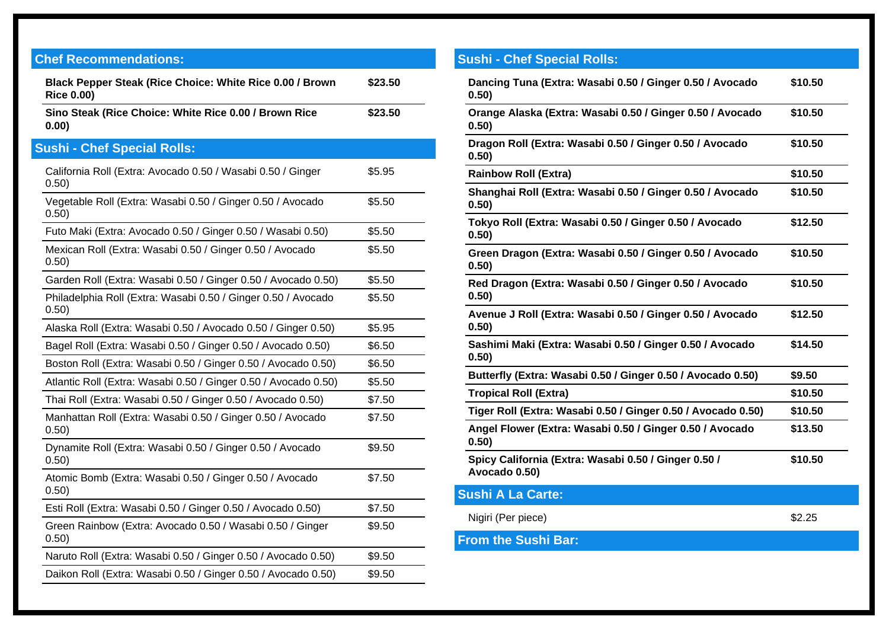| <b>Chef Recommendations:</b>                                                  |         |
|-------------------------------------------------------------------------------|---------|
| Black Pepper Steak (Rice Choice: White Rice 0.00 / Brown<br><b>Rice 0.00)</b> | \$23.50 |
| Sino Steak (Rice Choice: White Rice 0.00 / Brown Rice<br>0.00)                | \$23.50 |
| <b>Sushi - Chef Special Rolls:</b>                                            |         |
| California Roll (Extra: Avocado 0.50 / Wasabi 0.50 / Ginger<br>0.50)          | \$5.95  |
| Vegetable Roll (Extra: Wasabi 0.50 / Ginger 0.50 / Avocado<br>0.50)           | \$5.50  |
| Futo Maki (Extra: Avocado 0.50 / Ginger 0.50 / Wasabi 0.50)                   | \$5.50  |
| Mexican Roll (Extra: Wasabi 0.50 / Ginger 0.50 / Avocado<br>0.50)             | \$5.50  |
| Garden Roll (Extra: Wasabi 0.50 / Ginger 0.50 / Avocado 0.50)                 | \$5.50  |
| Philadelphia Roll (Extra: Wasabi 0.50 / Ginger 0.50 / Avocado<br>0.50)        | \$5.50  |
| Alaska Roll (Extra: Wasabi 0.50 / Avocado 0.50 / Ginger 0.50)                 | \$5.95  |
| Bagel Roll (Extra: Wasabi 0.50 / Ginger 0.50 / Avocado 0.50)                  | \$6.50  |
| Boston Roll (Extra: Wasabi 0.50 / Ginger 0.50 / Avocado 0.50)                 | \$6.50  |
| Atlantic Roll (Extra: Wasabi 0.50 / Ginger 0.50 / Avocado 0.50)               | \$5.50  |
| Thai Roll (Extra: Wasabi 0.50 / Ginger 0.50 / Avocado 0.50)                   | \$7.50  |
| Manhattan Roll (Extra: Wasabi 0.50 / Ginger 0.50 / Avocado<br>0.50)           | \$7.50  |
| Dynamite Roll (Extra: Wasabi 0.50 / Ginger 0.50 / Avocado<br>0.50)            | \$9.50  |
| Atomic Bomb (Extra: Wasabi 0.50 / Ginger 0.50 / Avocado<br>0.50)              | \$7.50  |
| Esti Roll (Extra: Wasabi 0.50 / Ginger 0.50 / Avocado 0.50)                   | \$7.50  |
| Green Rainbow (Extra: Avocado 0.50 / Wasabi 0.50 / Ginger<br>0.50)            | \$9.50  |
| Naruto Roll (Extra: Wasabi 0.50 / Ginger 0.50 / Avocado 0.50)                 | \$9.50  |
| Daikon Roll (Extra: Wasabi 0.50 / Ginger 0.50 / Avocado 0.50)                 | \$9.50  |

| <b>Sushi - Chef Special Rolls:</b>                                    |         |
|-----------------------------------------------------------------------|---------|
| Dancing Tuna (Extra: Wasabi 0.50 / Ginger 0.50 / Avocado<br>0.50)     | \$10.50 |
| Orange Alaska (Extra: Wasabi 0.50 / Ginger 0.50 / Avocado<br>0.50)    | \$10.50 |
| Dragon Roll (Extra: Wasabi 0.50 / Ginger 0.50 / Avocado<br>0.50)      | \$10.50 |
| <b>Rainbow Roll (Extra)</b>                                           | \$10.50 |
| Shanghai Roll (Extra: Wasabi 0.50 / Ginger 0.50 / Avocado<br>0.50)    | \$10.50 |
| Tokyo Roll (Extra: Wasabi 0.50 / Ginger 0.50 / Avocado<br>0.50)       | \$12.50 |
| Green Dragon (Extra: Wasabi 0.50 / Ginger 0.50 / Avocado<br>0.50)     | \$10.50 |
| Red Dragon (Extra: Wasabi 0.50 / Ginger 0.50 / Avocado<br>0.50)       | \$10.50 |
| Avenue J Roll (Extra: Wasabi 0.50 / Ginger 0.50 / Avocado<br>0.50)    | \$12.50 |
| Sashimi Maki (Extra: Wasabi 0.50 / Ginger 0.50 / Avocado<br>0.50)     | \$14.50 |
| Butterfly (Extra: Wasabi 0.50 / Ginger 0.50 / Avocado 0.50)           | \$9.50  |
| <b>Tropical Roll (Extra)</b>                                          | \$10.50 |
| Tiger Roll (Extra: Wasabi 0.50 / Ginger 0.50 / Avocado 0.50)          | \$10.50 |
| Angel Flower (Extra: Wasabi 0.50 / Ginger 0.50 / Avocado<br>0.50)     | \$13.50 |
| Spicy California (Extra: Wasabi 0.50 / Ginger 0.50 /<br>Avocado 0.50) | \$10.50 |
| <b>Sushi A La Carte:</b>                                              |         |
| Nigiri (Per piece)                                                    | \$2.25  |
| <b>From the Sushi Bar:</b>                                            |         |
|                                                                       |         |